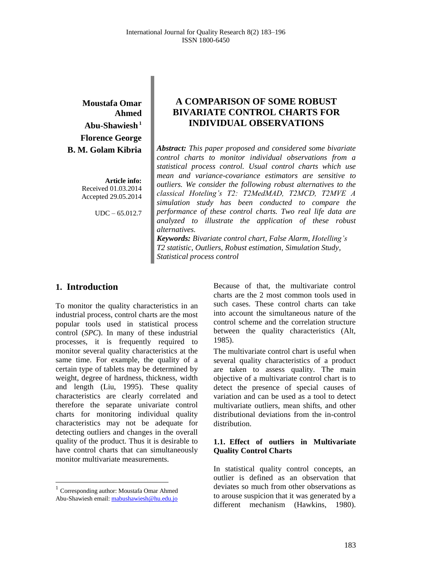**Moustafa Omar Ahmed Abu-Shawiesh <sup>1</sup> Florence George B. M. Golam Kibria** 

> **Article info:** Received 01.03.2014 Accepted 29.05.2014

> > UDC – 65.012.7

# **A COMPARISON OF SOME ROBUST BIVARIATE CONTROL CHARTS FOR INDIVIDUAL OBSERVATIONS**

*Abstract: This paper proposed and considered some bivariate control charts to monitor individual observations from a statistical process control. Usual control charts which use mean and variance-covariance estimators are sensitive to outliers. We consider the following robust alternatives to the classical Hoteling's T2: T2MedMAD, T2MCD, T2MVE A simulation study has been conducted to compare the performance of these control charts. Two real life data are analyzed to illustrate the application of these robust alternatives.*

*Keywords: Bivariate control chart, False Alarm, Hotelling's T2 statistic, Outliers, Robust estimation, Simulation Study, Statistical process control*

## **1. Introduction**

To monitor the quality characteristics in an industrial process, control charts are the most popular tools used in statistical process control (*SPC*). In many of these industrial processes, it is frequently required to monitor several quality characteristics at the same time. For example, the quality of a certain type of tablets may be determined by weight, degree of hardness, thickness, width and length (Liu, 1995). These quality characteristics are clearly correlated and therefore the separate univariate control charts for monitoring individual quality characteristics may not be adequate for detecting outliers and changes in the overall quality of the product. Thus it is desirable to have control charts that can simultaneously monitor multivariate measurements.

 $\overline{a}$ 

Because of that, the multivariate control charts are the 2 most common tools used in such cases. These control charts can take into account the simultaneous nature of the control scheme and the correlation structure between the quality characteristics (Alt, 1985).

The multivariate control chart is useful when several quality characteristics of a product are taken to assess quality. The main objective of a multivariate control chart is to detect the presence of special causes of variation and can be used as a tool to detect multivariate outliers, mean shifts, and other distributional deviations from the in-control distribution.

### **1.1. Effect of outliers in Multivariate Quality Control Charts**

In statistical quality control concepts, an outlier is defined as an observation that deviates so much from other observations as to arouse suspicion that it was generated by a different mechanism (Hawkins, 1980).

<sup>&</sup>lt;sup>1</sup> Corresponding author: Moustafa Omar Ahmed Abu-Shawiesh email[: mabushawiesh@hu.edu.jo](mailto:mabushawiesh@hu.edu.jo)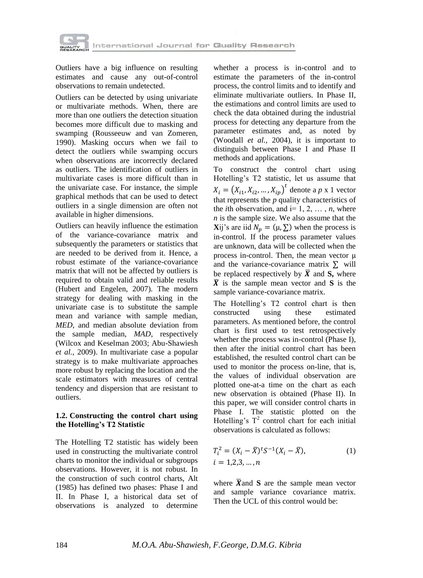

Outliers have a big influence on resulting estimates and cause any out-of-control observations to remain undetected.

Outliers can be detected by using univariate or multivariate methods. When, there are more than one outliers the detection situation becomes more difficult due to masking and swamping (Rousseeuw and van Zomeren, 1990). Masking occurs when we fail to detect the outliers while swamping occurs when observations are incorrectly declared as outliers. The identification of outliers in multivariate cases is more difficult than in the univariate case. For instance, the simple graphical methods that can be used to detect outliers in a single dimension are often not available in higher dimensions.

Outliers can heavily influence the estimation of the variance-covariance matrix and subsequently the parameters or statistics that are needed to be derived from it. Hence, a robust estimate of the variance-covariance matrix that will not be affected by outliers is required to obtain valid and reliable results (Hubert and Engelen, 2007). The modern strategy for dealing with masking in the univariate case is to substitute the sample mean and variance with sample median, *MED*, and median absolute deviation from the sample median, *MAD*, respectively (Wilcox and Keselman 2003; Abu-Shawiesh *et al.*, 2009). In multivariate case a popular strategy is to make multivariate approaches more robust by replacing the location and the scale estimators with measures of central tendency and dispersion that are resistant to outliers.

#### **1.2. Constructing the control chart using the Hotelling's T2 Statistic**

The Hotelling T2 statistic has widely been used in constructing the multivariate control charts to monitor the individual or subgroups observations. However, it is not robust. In the construction of such control charts, Alt (1985) has defined two phases: Phase I and II. In Phase I, a historical data set of observations is analyzed to determine

whether a process is in-control and to estimate the parameters of the in-control process, the control limits and to identify and eliminate multivariate outliers. In Phase II, the estimations and control limits are used to check the data obtained during the industrial process for detecting any departure from the parameter estimates and, as noted by (Woodall *et al.,* 2004), it is important to distinguish between Phase I and Phase II methods and applications.

To construct the control chart using Hotelling's T2 statistic, let us assume that  $X_i = (X_{i1}, X_{i2}, ..., X_{i p})^t$  denote a *p* x 1 vector that represents the *p* quality characteristics of the *i*th observation, and  $i=1, 2, \ldots, n$ , where *n* is the sample size. We also assume that the **X**ij's are iid  $N_p = (\mu, \Sigma)$  when the process is in-control. If the process parameter values are unknown, data will be collected when the process in-control. Then, the mean vector  $\mu$ and the variance-covariance matrix  $\Sigma$  will be replaced respectively by  $\bar{X}$  and **S**, where  $\overline{X}$  is the sample mean vector and S is the sample variance-covariance matrix.

The Hotelling's T2 control chart is then constructed using these estimated parameters. As mentioned before, the control chart is first used to test retrospectively whether the process was in-control (Phase I), then after the initial control chart has been established, the resulted control chart can be used to monitor the process on-line, that is, the values of individual observation are plotted one-at-a time on the chart as each new observation is obtained (Phase II). In this paper, we will consider control charts in Phase I. The statistic plotted on the Hotelling's  $T^2$  control chart for each initial observations is calculated as follows:

$$
T_i^2 = (X_i - \bar{X})^t S^{-1} (X_i - \bar{X}),
$$
  
\n $i = 1, 2, 3, ..., n$  (1)

where  $\bar{X}$  and  $S$  are the sample mean vector and sample variance covariance matrix. Then the UCL of this control would be: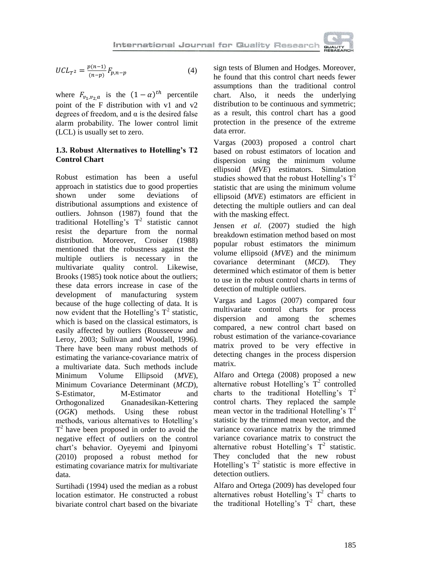

$$
UCL_{T^2} = \frac{p(n-1)}{(n-p)} F_{p,n-p}
$$
 (4)

where  $F_{v_1, v_2, a}$  is the  $(1 - \alpha)^{th}$  percentile point of the F distribution with v1 and v2 degrees of freedom, and  $\alpha$  is the desired false alarm probability. The lower control limit (LCL) is usually set to zero.

### **1.3. Robust Alternatives to Hotelling's T2 Control Chart**

Robust estimation has been a useful approach in statistics due to good properties shown under some deviations of distributional assumptions and existence of outliers. Johnson (1987) found that the traditional Hotelling's  $T^2$  statistic cannot resist the departure from the normal distribution. Moreover, Croiser (1988) mentioned that the robustness against the multiple outliers is necessary in the multivariate quality control. Likewise, Brooks (1985) took notice about the outliers; these data errors increase in case of the development of manufacturing system because of the huge collecting of data. It is now evident that the Hotelling's  $T^2$  statistic, which is based on the classical estimators, is easily affected by outliers (Rousseeuw and Leroy, 2003; Sullivan and Woodall, 1996). There have been many robust methods of estimating the variance-covariance matrix of a multivariate data. Such methods include Minimum Volume Ellipsoid (*MVE*), Minimum Covariance Determinant (*MCD*), S-Estimator, M-Estimator and Orthogonalized Gnanadesikan-Kettering (*OGK*) methods. Using these robust methods, various alternatives to Hotelling's  $T<sup>2</sup>$  have been proposed in order to avoid the negative effect of outliers on the control chart's behavior. Oyeyemi and Ipinyomi (2010) proposed a robust method for estimating covariance matrix for multivariate data.

Surtihadi (1994) used the median as a robust location estimator. He constructed a robust bivariate control chart based on the bivariate sign tests of Blumen and Hodges. Moreover, he found that this control chart needs fewer assumptions than the traditional control chart. Also, it needs the underlying distribution to be continuous and symmetric; as a result, this control chart has a good protection in the presence of the extreme data error.

Vargas (2003) proposed a control chart based on robust estimators of location and dispersion using the minimum volume ellipsoid (*MVE*) estimators. Simulation studies showed that the robust Hotelling's  $T^2$ statistic that are using the minimum volume ellipsoid (*MVE*) estimators are efficient in detecting the multiple outliers and can deal with the masking effect.

Jensen *et al.* (2007) studied the high breakdown estimation method based on most popular robust estimators the minimum volume ellipsoid (*MVE*) and the minimum covariance determinant (*MCD*). They determined which estimator of them is better to use in the robust control charts in terms of detection of multiple outliers.

Vargas and Lagos (2007) compared four multivariate control charts for process dispersion and among the schemes compared, a new control chart based on robust estimation of the variance-covariance matrix proved to be very effective in detecting changes in the process dispersion matrix.

Alfaro and Ortega (2008) proposed a new alternative robust Hotelling's  $T^2$  controlled charts to the traditional Hotelling's  $T^2$ control charts. They replaced the sample mean vector in the traditional Hotelling's  $T^2$ statistic by the trimmed mean vector, and the variance covariance matrix by the trimmed variance covariance matrix to construct the alternative robust Hotelling's  $T^2$  statistic. They concluded that the new robust Hotelling's  $T^2$  statistic is more effective in detection outliers.

Alfaro and Ortega (2009) has developed four alternatives robust Hotelling's  $T^2$  charts to the traditional Hotelling's  $T^2$  chart, these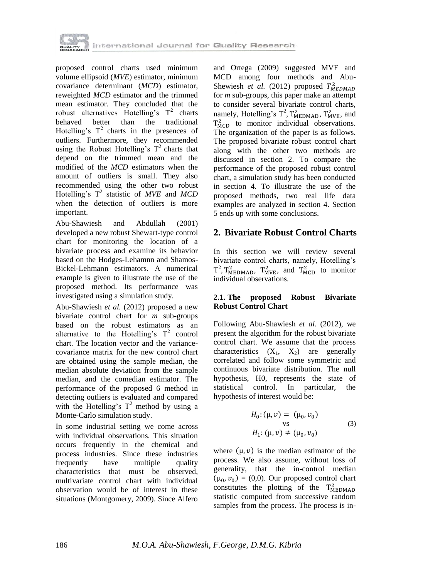

proposed control charts used minimum volume ellipsoid (*MVE*) estimator, minimum covariance determinant (*MCD*) estimator, reweighted *MCD* estimator and the trimmed mean estimator. They concluded that the robust alternatives Hotelling's  $T^2$  charts behaved better than the traditional Hotelling's  $T^2$  charts in the presences of outliers. Furthermore, they recommended using the Robust Hotelling's  $T^2$  charts that depend on the trimmed mean and the modified of the *MCD* estimators when the amount of outliers is small. They also recommended using the other two robust Hotelling's T 2 statistic of *MVE* and *MCD*  when the detection of outliers is more important.

Abu-Shawiesh and Abdullah (2001) developed a new robust Shewart-type control chart for monitoring the location of a bivariate process and examine its behavior based on the Hodges-Lehamnn and Shamos-Bickel-Lehmann estimators. A numerical example is given to illustrate the use of the proposed method. Its performance was investigated using a simulation study.

Abu-Shawiesh *et al.* (2012) proposed a new bivariate control chart for *m* sub-groups based on the robust estimators as an alternative to the Hotelling's  $T^2$  control chart. The location vector and the variancecovariance matrix for the new control chart are obtained using the sample median, the median absolute deviation from the sample median, and the comedian estimator. The performance of the proposed 6 method in detecting outliers is evaluated and compared with the Hotelling's  $T^2$  method by using a Monte-Carlo simulation study.

In some industrial setting we come across with individual observations. This situation occurs frequently in the chemical and process industries. Since these industries frequently have multiple quality characteristics that must be observed, multivariate control chart with individual observation would be of interest in these situations (Montgomery, 2009). Since Alfero

and Ortega (2009) suggested MVE and MCD among four methods and Abu-Shewiesh *et al.* (2012) proposed  $T_M^2$ for *m* sub-groups, this paper make an attempt to consider several bivariate control charts, namely, Hotelling's  $T^2$ ,  $T^2_{\text{MEDMAD}}$ ,  $T^2_{\text{MVE}}$ , and  $T_{\text{MCD}}^2$  to monitor individual observations. The organization of the paper is as follows. The proposed bivariate robust control chart along with the other two methods are discussed in section 2. To compare the performance of the proposed robust control chart, a simulation study has been conducted in section 4. To illustrate the use of the proposed methods, two real life data examples are analyzed in section 4. Section 5 ends up with some conclusions.

## **2. Bivariate Robust Control Charts**

In this section we will review several bivariate control charts, namely, Hotelling's  $T^2$ ,  $T_{\text{MEDMAD}}^2$ ,  $T_{\text{MVE}}^2$ , and  $T_{\text{MCD}}^2$  to monitor individual observations.

#### **2.1. The proposed Robust Bivariate Robust Control Chart**

Following Abu-Shawiesh *et al.* (2012), we present the algorithm for the robust bivariate control chart. We assume that the process characteristics  $(X_1, X_2)$  are generally correlated and follow some symmetric and continuous bivariate distribution. The null hypothesis, H0, represents the state of statistical control. In particular, the hypothesis of interest would be:

$$
H_0: (\mu, \nu) = (\mu_0, \nu_0)
$$
  
vs  

$$
H_1: (\mu, \nu) \neq (\mu_0, \nu_0)
$$
 (3)

where  $(\mu, \nu)$  is the median estimator of the process. We also assume, without loss of generality, that the in-control median  $(\mu_0, \nu_0) = (0,0)$ . Our proposed control chart constitutes the plotting of the  $T_M^2$ statistic computed from successive random samples from the process. The process is in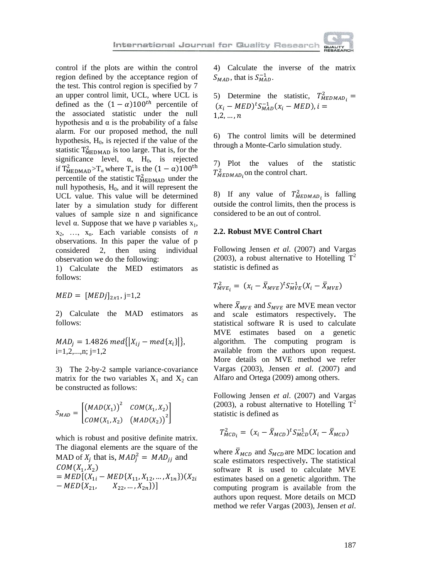control if the plots are within the control region defined by the acceptance region of the test. This control region is specified by 7 an upper control limit, UCL, where UCL is defined as the  $(1 - \alpha)100^{th}$  percentile of the associated statistic under the null hypothesis and  $\alpha$  is the probability of a false alarm. For our proposed method, the null hypothesis,  $H_0$ , is rejected if the value of the statistic  $T_{\text{MEDMAD}}^2$  is too large. That is, for the significance level,  $\alpha$ , H<sub>0</sub>, is rejected if  $T_{\text{MEDMAD}}^2 > T_\alpha$  where  $T_\alpha$  is the  $(1 - \alpha)1$ percentile of the statistic  $T_{\text{MEDMAD}}^2$  under the null hypothesis,  $H<sub>0</sub>$ , and it will represent the UCL value. This value will be determined later by a simulation study for different values of sample size n and significance level α. Suppose that we have p variables  $x_1$ ,  $x_2, \ldots, x_n$ . Each variable consists of *n* observations. In this paper the value of p considered 2, then using individual observation we do the following:

1) Calculate the MED estimators as follows:

$$
MED = [MEDj]_{2x1}, j=1,2
$$

2) Calculate the MAD estimators as follows:

$$
MAD_j = 1.4826 \text{ med}\{|X_{ij} - \text{med}\{x_i\}|\},
$$
  
i=1,2,...,n; j=1,2

3) The 2-by-2 sample variance-covariance matrix for the two variables  $X_1$  and  $X_2$  can be constructed as follows:

$$
S_{MAD} = \begin{bmatrix} (MAD(X_1))^{2} & COM(X_1, X_2) \\ COM(X_1, X_2) & (MAD(X_2))^{2} \end{bmatrix}
$$

which is robust and positive definite matrix. The diagonal elements are the square of the MAD of  $X_i$  that is,  $MAD_i^2 = MAD_{ii}$  and  $COM(X_1, X_2)$  $= MED[(X_{1i} - MED{X_{11}, X_{12}, ..., X_{1n}})(X$  $-MED{X_{21}, X_{22}, ..., X_{2n}}$ 

4) Calculate the inverse of the matrix  $S_{MAD}$ , that is  $S_{MAD}^{-1}$ .

5) Determine the statistic,  $T_M^2$  $(x_i - MED)^{t}S_{MAD}^{-1}(x_i - MED),$  $1.2,...,n$ 

6) The control limits will be determined through a Monte-Carlo simulation study.

7) Plot the values of the statistic  $T_{MEDMAD}^2$ , on the control chart.

8) If any value of  $T_{MEDMAD_i}^2$  is falling outside the control limits, then the process is considered to be an out of control.

#### **2.2. Robust MVE Control Chart**

Following Jensen *et al.* (2007) and Vargas (2003), a robust alternative to Hotelling  $T^2$ statistic is defined as

$$
T_{MVE_i}^2 = (x_i - \bar{X}_{MVE})^t S_{MVE}^{-1} (X_i - \bar{X}_{MVE})
$$

where  $\bar{X}_{MVE}$  and  $S_{MVE}$  are MVE mean vector and scale estimators respectively**.** The statistical software R is used to calculate MVE estimates based on a genetic algorithm. The computing program is available from the authors upon request. More details on MVE method we refer Vargas (2003), Jensen *et al.* (2007) and Alfaro and Ortega (2009) among others.

Following Jensen *et al*. (2007) and Vargas (2003), a robust alternative to Hotelling  $T^2$ statistic is defined as

$$
T_{MCD_i}^2 = (x_i - \bar{X}_{MCD})^t S_{MCD}^{-1} (X_i - \bar{X}_{MCD})
$$

where  $\bar{X}_{MCD}$  and  $S_{MCD}$  are MDC location and scale estimators respectively**.** The statistical software R is used to calculate MVE estimates based on a genetic algorithm. The computing program is available from the authors upon request. More details on MCD method we refer Vargas (2003), Jensen *et al*.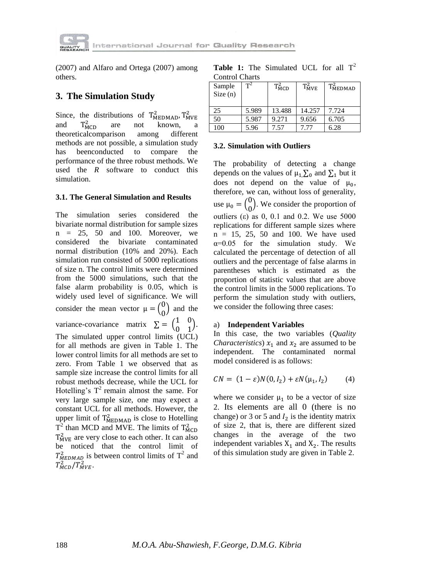

(2007) and Alfaro and Ortega (2007) among others.

# **3. The Simulation Study**

Since, the distributions of  $T_{\text{MEDMAD}}^2$ ,  $T_{\text{M}}^2$ and  $T_{MCD}^2$ are not known, a theoreticalcomparison among different methods are not possible, a simulation study has beenconducted to compare the performance of the three robust methods. We used the *R* software to conduct this simulation.

## **3.1. The General Simulation and Results**

The simulation series considered the bivariate normal distribution for sample sizes  $n = 25$ , 50 and 100. Moreover, we considered the bivariate contaminated normal distribution (10% and 20%). Each simulation run consisted of 5000 replications of size n. The control limits were determined from the 5000 simulations, such that the false alarm probability is 0.05, which is widely used level of significance. We will consider the mean vector  $\mu = \begin{pmatrix} 0 \\ 0 \end{pmatrix}$  $\binom{0}{0}$  and the variance-covariance matrix  $\Sigma = \begin{pmatrix} 1 \\ 0 \end{pmatrix}$  $\boldsymbol{0}$ /. The simulated upper control limits (UCL) for all methods are given in Table 1. The lower control limits for all methods are set to zero. From Table 1 we observed that as sample size increase the control limits for all robust methods decrease, while the UCL for Hotelling's  $T^2$  remain almost the same. For very large sample size, one may expect a constant UCL for all methods. However, the upper limit of  $T_{\text{MEDMAD}}^2$  is close to Hotelling  $T^2$  than MCD and MVE. The limits of  $T_M^2$  $T_{\text{MVE}}^2$  are very close to each other. It can also be noticed that the control limit of  $T_{MEDMAD}^2$  is between control limits of  $T^2$  and  $T_{MCD}^2/T_{MVE}^2$ .

|                |  | <b>Table 1:</b> The Simulated UCL for all $T^2$ |  |  |
|----------------|--|-------------------------------------------------|--|--|
| Control Charts |  |                                                 |  |  |

| Sample<br>Size(n) | $\mathbf{T}^2$ | $T_{\rm MCD}^2$ | $T_{MVE}^2$ | $T_{\text{MEDMAD}}^2$ |
|-------------------|----------------|-----------------|-------------|-----------------------|
| 25                | 5.989          | 13.488          | 14.257      | 7.724                 |
| 50                | 5.987          | 9.271           | 9.656       | 6.705                 |
| 100               | 5.96           | 7.57            | 7.77        | 6.28                  |

#### **3.2. Simulation with Outliers**

The probability of detecting a change depends on the values of  $\mu_1, \Sigma_0$  and  $\Sigma_1$  but it does not depend on the value of  $\mu_0$ , therefore, we can, without loss of generality, use  $\mu_0 = \begin{pmatrix} 0 \\ 0 \end{pmatrix}$  $\binom{0}{0}$ . We consider the proportion of outliers (ε) as 0, 0.1 and 0.2. We use  $5000$ replications for different sample sizes where  $n = 15, 25, 50,$  and 100. We have used  $\alpha$ =0.05 for the simulation study. We calculated the percentage of detection of all outliers and the percentage of false alarms in parentheses which is estimated as the proportion of statistic values that are above the control limits in the 5000 replications. To perform the simulation study with outliers, we consider the following three cases:

### a) **Independent Variables**

In this case, the two variables (*Quality Characteristics*)  $x_1$  and  $x_2$  are assumed to be independent. The contaminated normal model considered is as follows:

$$
CN = (1 - \varepsilon)N(0, I_2) + \varepsilon N(\mu_1, I_2) \tag{4}
$$

where we consider  $\mu_1$  to be a vector of size 2. Its elements are all 0 (there is no change) or 3 or 5 and  $I_2$  is the identity matrix of size 2, that is, there are different sized changes in the average of the two independent variables  $X_1$  and  $X_2$ . The results of this simulation study are given in Table 2.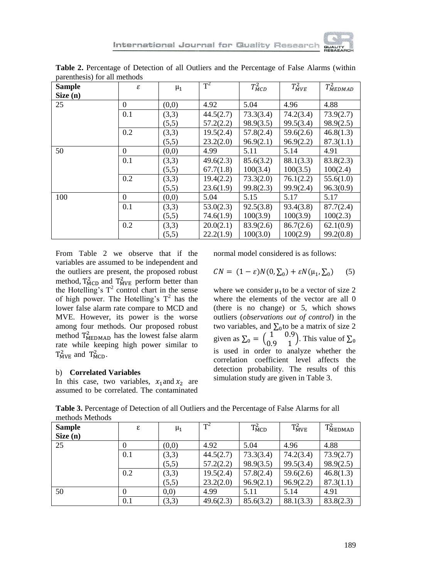International Journal for Quality Research



| <b>Sample</b> | ε            | $\mu_1$ | $\text{T}^2$ | $T_{MCD}^2$ | $T_{MVE}^2$ | $T_{MEDMAD}^2$ |
|---------------|--------------|---------|--------------|-------------|-------------|----------------|
| Size (n)      |              |         |              |             |             |                |
| 25            | $\Omega$     | (0,0)   | 4.92         | 5.04        | 4.96        | 4.88           |
|               | 0.1          | (3,3)   | 44.5(2.7)    | 73.3(3.4)   | 74.2(3.4)   | 73.9(2.7)      |
|               |              | (5,5)   | 57.2(2.2)    | 98.9(3.5)   | 99.5(3.4)   | 98.9(2.5)      |
|               | 0.2          | (3,3)   | 19.5(2.4)    | 57.8(2.4)   | 59.6(2.6)   | 46.8(1.3)      |
|               |              | (5,5)   | 23.2(2.0)    | 96.9(2.1)   | 96.9(2.2)   | 87.3(1.1)      |
| 50            | $\Omega$     | (0,0)   | 4.99         | 5.11        | 5.14        | 4.91           |
|               | 0.1          | (3,3)   | 49.6(2.3)    | 85.6(3.2)   | 88.1(3.3)   | 83.8(2.3)      |
|               |              | (5,5)   | 67.7(1.8)    | 100(3.4)    | 100(3.5)    | 100(2.4)       |
|               | 0.2          | (3,3)   | 19.4(2.2)    | 73.3(2.0)   | 76.1(2.2)   | 55.6(1.0)      |
|               |              | (5,5)   | 23.6(1.9)    | 99.8(2.3)   | 99.9(2.4)   | 96.3(0.9)      |
| 100           | $\mathbf{0}$ | (0,0)   | 5.04         | 5.15        | 5.17        | 5.17           |
|               | 0.1          | (3,3)   | 53.0(2.3)    | 92.5(3.8)   | 93.4(3.8)   | 87.7(2.4)      |
|               |              | (5,5)   | 74.6(1.9)    | 100(3.9)    | 100(3.9)    | 100(2.3)       |
|               | 0.2          | (3,3)   | 20.0(2.1)    | 83.9(2.6)   | 86.7(2.6)   | 62.1(0.9)      |
|               |              | (5,5)   | 22.2(1.9)    | 100(3.0)    | 100(2.9)    | 99.2(0.8)      |

**Table 2.** Percentage of Detection of all Outliers and the Percentage of False Alarms (within parenthesis) for all methods

From Table 2 we observe that if the variables are assumed to be independent and the outliers are present, the proposed robust method,  $T_{\text{MCD}}^2$  and  $T_{\text{MVE}}^2$  perform better than the Hotelling's  $T^2$  control chart in the sense of high power. The Hotelling's  $T^2$  has the lower false alarm rate compare to MCD and MVE. However, its power is the worse among four methods. Our proposed robust method  $T_{\text{MEDMAD}}^2$  has the lowest false alarm rate while keeping high power similar to  $T_{MVE}^2$  and  $T_{MCD}^2$ .

#### b) **Correlated Variables**

In this case, two variables,  $x_1$  and  $x_2$  are assumed to be correlated. The contaminated

normal model considered is as follows:

$$
CN = (1 - \varepsilon)N(0, \Sigma_0) + \varepsilon N(\mu_1, \Sigma_0) \qquad (5)
$$

where we consider  $\mu_1$  to be a vector of size 2 where the elements of the vector are all 0 (there is no change) or 5, which shows outliers (*observations out of control*) in the two variables, and  $\Sigma_0$  to be a matrix of size 2 given as  $\Sigma_0 = \begin{pmatrix} 1 \\ 0 \end{pmatrix}$  $\begin{pmatrix} 1 & 0.5 \\ 0.9 & 1 \end{pmatrix}$ . This value of is used in order to analyze whether the correlation coefficient level affects the detection probability. The results of this simulation study are given in Table 3.

| <b>Sample</b> | ε   | $\mu_1$ | $T^2$     | $T_{\rm MCD}^2$ | $T_{MVE}^2$ | $T_{\text{MEDMAD}}^2$ |
|---------------|-----|---------|-----------|-----------------|-------------|-----------------------|
| Size $(n)$    |     |         |           |                 |             |                       |
| 25            |     | (0,0)   | 4.92      | 5.04            | 4.96        | 4.88                  |
|               | 0.1 | (3,3)   | 44.5(2.7) | 73.3(3.4)       | 74.2(3.4)   | 73.9(2.7)             |
|               |     | (5,5)   | 57.2(2.2) | 98.9(3.5)       | 99.5(3.4)   | 98.9(2.5)             |
|               | 0.2 | (3,3)   | 19.5(2.4) | 57.8(2.4)       | 59.6(2.6)   | 46.8(1.3)             |
|               |     | (5,5)   | 23.2(2.0) | 96.9(2.1)       | 96.9(2.2)   | 87.3(1.1)             |
| 50            |     | (0,0)   | 4.99      | 5.11            | 5.14        | 4.91                  |
|               | 0.1 | (3,3)   | 49.6(2.3) | 85.6(3.2)       | 88.1(3.3)   | 83.8(2.3)             |

**Table 3.** Percentage of Detection of all Outliers and the Percentage of False Alarms for all methods Methods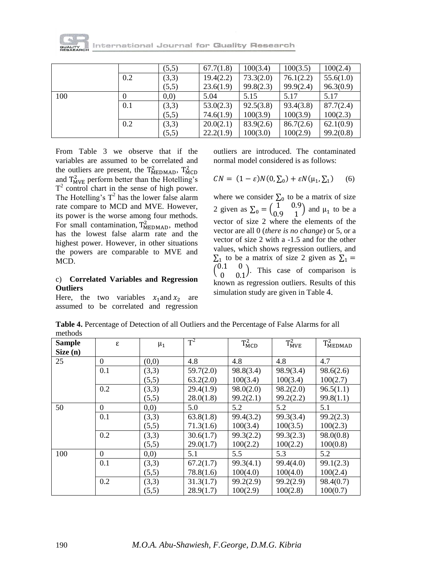

tternational Journal for Quality Research

|     |     | (5,5) | 67.7(1.8) | 100(3.4)  | 100(3.5)  | 100(2.4)  |
|-----|-----|-------|-----------|-----------|-----------|-----------|
|     | 0.2 | (3,3) | 19.4(2.2) | 73.3(2.0) | 76.1(2.2) | 55.6(1.0) |
|     |     | (5,5) | 23.6(1.9) | 99.8(2.3) | 99.9(2.4) | 96.3(0.9) |
| 100 |     | (0,0) | 5.04      | 5.15      | 5.17      | 5.17      |
|     | 0.1 | (3,3) | 53.0(2.3) | 92.5(3.8) | 93.4(3.8) | 87.7(2.4) |
|     |     | (5,5) | 74.6(1.9) | 100(3.9)  | 100(3.9)  | 100(2.3)  |
|     | 0.2 | (3,3) | 20.0(2.1) | 83.9(2.6) | 86.7(2.6) | 62.1(0.9) |
|     |     | (5,5) | 22.2(1.9) | 100(3.0)  | 100(2.9)  | 99.2(0.8) |

From Table 3 we observe that if the variables are assumed to be correlated and the outliers are present, the  $T_{\text{MEDMAD}}^2$ ,  $T_{\text{M}}^2$ and  $T_{\text{MVE}}^2$  perform better than the Hotelling's  $T<sup>2</sup>$  control chart in the sense of high power. The Hotelling's  $T^2$  has the lower false alarm rate compare to MCD and MVE. However, its power is the worse among four methods. For small contamination,  $T_{\text{MEDMAD}}^2$ , method has the lowest false alarm rate and the highest power. However, in other situations the powers are comparable to MVE and MCD.

### c) **Correlated Variables and Regression Outliers**

Here, the two variables  $x_1$  and  $x_2$  are assumed to be correlated and regression

outliers are introduced. The contaminated normal model considered is as follows:

$$
CN = (1 - \varepsilon)N(0, \Sigma_0) + \varepsilon N(\mu_1, \Sigma_1) \tag{6}
$$

where we consider  $\Sigma_0$  to be a matrix of size 2 given as  $\Sigma_0 = \begin{pmatrix} 1 \\ 0 \end{pmatrix}$  $\begin{pmatrix} 1 & 0.9 \\ 0.9 & 1 \end{pmatrix}$  and  $\mu_1$  to be a vector of size 2 where the elements of the vector are all 0 (*there is no change*) or 5, or a vector of size 2 with a -1.5 and for the other values, which shows regression outliers, and  $\Sigma_1$  to be a matrix of size 2 given as  $^{0}$  $\begin{pmatrix} 0 & 0 \\ 0 & 0 \end{pmatrix}$ . This case of comparison is known as regression outliers. Results of this simulation study are given in Table 4.

**Table 4.** Percentage of Detection of all Outliers and the Percentage of False Alarms for all methods

| <b>Sample</b> | ε        | $\mu_1$ | $T^2$     | $T_{MCD}^2$ | $T_{MVE}^2$ | $T_{\text{MEDMAD}}^2$ |
|---------------|----------|---------|-----------|-------------|-------------|-----------------------|
| Size (n)      |          |         |           |             |             |                       |
| 25            | $\theta$ | (0,0)   | 4.8       | 4.8         | 4.8         | 4.7                   |
|               | 0.1      | (3,3)   | 59.7(2.0) | 98.8(3.4)   | 98.9(3.4)   | 98.6(2.6)             |
|               |          | (5,5)   | 63.2(2.0) | 100(3.4)    | 100(3.4)    | 100(2.7)              |
|               | 0.2      | (3,3)   | 29.4(1.9) | 98.0(2.0)   | 98.2(2.0)   | 96.5(1.1)             |
|               |          | (5,5)   | 28.0(1.8) | 99.2(2.1)   | 99.2(2.2)   | 99.8(1.1)             |
| 50            | $\theta$ | (0,0)   | 5.0       | 5.2         | 5.2         | 5.1                   |
|               | 0.1      | (3,3)   | 63.8(1.8) | 99.4(3.2)   | 99.3(3.4)   | 99.2(2.3)             |
|               |          | (5,5)   | 71.3(1.6) | 100(3.4)    | 100(3.5)    | 100(2.3)              |
|               | 0.2      | (3,3)   | 30.6(1.7) | 99.3(2.2)   | 99.3(2.3)   | 98.0(0.8)             |
|               |          | (5,5)   | 29.0(1.7) | 100(2.2)    | 100(2.2)    | 100(0.8)              |
| 100           | $\theta$ | (0,0)   | 5.1       | 5.5         | 5.3         | 5.2                   |
|               | 0.1      | (3,3)   | 67.2(1.7) | 99.3(4.1)   | 99.4(4.0)   | 99.1(2.3)             |
|               |          | (5,5)   | 78.8(1.6) | 100(4.0)    | 100(4.0)    | 100(2.4)              |
|               | 0.2      | (3,3)   | 31.3(1.7) | 99.2(2.9)   | 99.2(2.9)   | 98.4(0.7)             |
|               |          | (5,5)   | 28.9(1.7) | 100(2.9)    | 100(2.8)    | 100(0.7)              |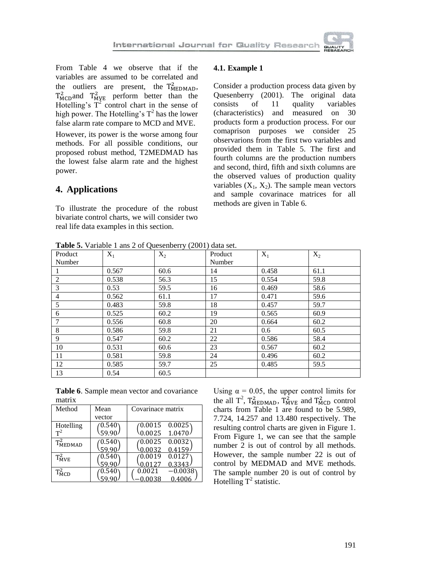From Table 4 we observe that if the variables are assumed to be correlated and the outliers are present, the  $T_{\text{MEDMAD}}^2$ ,  $T_{\text{MCD}}^2$  and  $T_{\text{MVE}}^2$  perform better than the Hotelling's  $T^2$  control chart in the sense of high power. The Hotelling's  $T^2$  has the lower false alarm rate compare to MCD and MVE.

However, its power is the worse among four methods. For all possible conditions, our proposed robust method, T2MEDMAD has the lowest false alarm rate and the highest power.

# **4. Applications**

To illustrate the procedure of the robust bivariate control charts, we will consider two real life data examples in this section.

### **4.1. Example 1**

Consider a production process data given by Quesenberry (2001). The original data consists of 11 quality variables (characteristics) and measured on 30 products form a production process. For our comaprison purposes we consider 25 observarions from the first two variables and provided them in Table 5. The first and fourth columns are the production numbers and second, third, fifth and sixth columns are the observed values of production quality variables  $(X_1, X_2)$ . The sample mean vectors and sample covarinace matrices for all methods are given in Table 6.

**Table 5.** Variable 1 ans 2 of Quesenberry (2001) data set.

| <b>Table 5.</b> Variable 1 ans 2 or Queschberry (2001) data set. |       |       |         |       |       |
|------------------------------------------------------------------|-------|-------|---------|-------|-------|
| Product                                                          | $X_1$ | $X_2$ | Product | $X_1$ | $X_2$ |
| Number                                                           |       |       | Number  |       |       |
|                                                                  | 0.567 | 60.6  | 14      | 0.458 | 61.1  |
| 2                                                                | 0.538 | 56.3  | 15      | 0.554 | 59.8  |
| 3                                                                | 0.53  | 59.5  | 16      | 0.469 | 58.6  |
| $\overline{4}$                                                   | 0.562 | 61.1  | 17      | 0.471 | 59.6  |
| 5                                                                | 0.483 | 59.8  | 18      | 0.457 | 59.7  |
| 6                                                                | 0.525 | 60.2  | 19      | 0.565 | 60.9  |
| 7                                                                | 0.556 | 60.8  | 20      | 0.664 | 60.2  |
| 8                                                                | 0.586 | 59.8  | 21      | 0.6   | 60.5  |
| 9                                                                | 0.547 | 60.2  | 22      | 0.586 | 58.4  |
| 10                                                               | 0.531 | 60.6  | 23      | 0.567 | 60.2  |
| 11                                                               | 0.581 | 59.8  | 24      | 0.496 | 60.2  |
| 12                                                               | 0.585 | 59.7  | 25      | 0.485 | 59.5  |
| -13                                                              | 0.54  | 60.5  |         |       |       |

**Table 6**. Sample mean vector and covariance matrix

| Method                | Mean            | Covarinace matrix   |
|-----------------------|-----------------|---------------------|
|                       | vector          |                     |
| Hotelling             | $0.540^{\circ}$ | 0.0015<br>0.0025    |
| $T^2$                 | 59.90           | 0.0025<br>1.0470.   |
| $T_{\text{MEDMAD}}^2$ | 0.540           | 0.0032<br>0.0025    |
|                       | 59.90           | 0.0032<br>0.4159    |
| $T_{MVE}^2$           | $0.540\,$       | 0.0127<br>0.0019    |
|                       | 59.90           | 0.3343<br>0.0127    |
| $T_{MCD}^2$           | $0.540\,$       | 0.0021<br>$-0.0038$ |
|                       |                 | 0.0038<br>0.4006    |

Using  $\alpha = 0.05$ , the upper control limits for the all  $T^2$ ,  $T_{\text{MEDMAD}}^2$ ,  $T_{\text{MVE}}^2$  and  $T_{\text{MCD}}^2$  control charts from Table 1 are found to be 5.989, 7.724, 14.257 and 13.480 respectively. The resulting control charts are given in Figure 1. From Figure 1, we can see that the sample number 2 is out of control by all methods. However, the sample number 22 is out of control by MEDMAD and MVE methods. The sample number 20 is out of control by Hotelling  $T^2$  statistic.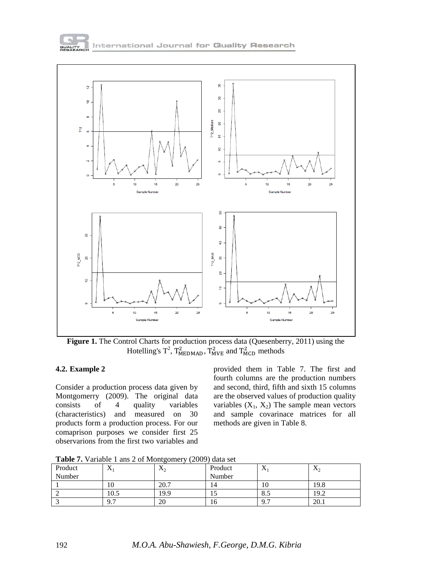



Figure 1. The Control Charts for production process data (Quesenberry, 2011) using the Hotelling's  $T^2$ ,  $T^2_{\text{MEDMAD}}$ ,  $T^2_{\text{MVE}}$  and  $T^2_{\text{MCD}}$  methods

### **4.2. Example 2**

Consider a production process data given by Montgomerry (2009). The original data consists of 4 quality variables (characteristics) and measured on 30 products form a production process. For our comaprison purposes we consider first 25 observarions from the first two variables and

provided them in Table 7. The first and fourth columns are the production numbers and second, third, fifth and sixth 15 columns are the observed values of production quality variables  $(X_1, X_2)$  The sample mean vectors and sample covarinace matrices for all methods are given in Table 8.

**Table 7.** Variable 1 ans 2 of Montgomery (2009) data set

| Product | .,<br>$\Lambda$ | $\mathbf v$<br>$\mathbf{A}_2$ | Product | $\Delta$                | $\mathbf{v}_2$ |
|---------|-----------------|-------------------------------|---------|-------------------------|----------------|
| Number  |                 |                               | Number  |                         |                |
|         | ΙU              | 20.7                          | 14      | ιv                      | 19.8           |
|         | 10.5            | 19.9                          | IJ      | 0.5                     | 19.2           |
|         | Q 7<br>, , ,    | 20                            | 16      | Q <sub>7</sub><br>, , , | 20.1           |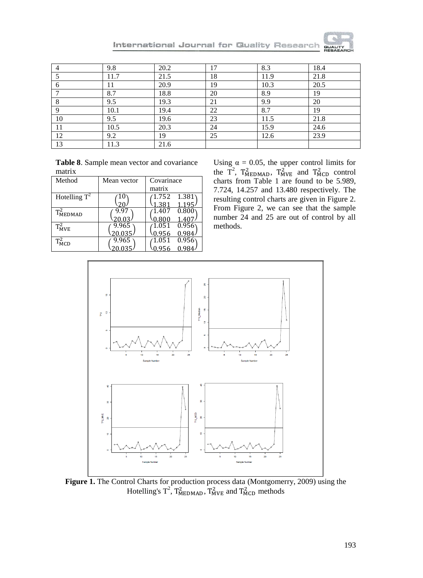**QUALIT** 

|    | 9.8  | 20.2 | 17 | 8.3  | 18.4 |
|----|------|------|----|------|------|
|    | 11.7 | 21.5 | 18 | 11.9 | 21.8 |
| 6  | 11   | 20.9 | 19 | 10.3 | 20.5 |
|    | 8.7  | 18.8 | 20 | 8.9  | 19   |
| Q  | 9.5  | 19.3 | 21 | 9.9  | 20   |
|    | 10.1 | 19.4 | 22 | 8.7  | 19   |
| 10 | 9.5  | 19.6 | 23 | 11.5 | 21.8 |
| 11 | 10.5 | 20.3 | 24 | 15.9 | 24.6 |
| 12 | 9.2  | 19   | 25 | 12.6 | 23.9 |
| 13 | 11.3 | 21.6 |    |      |      |

International Journal for Quality Research

| Table 8. Sample mean vector and covariance |  |
|--------------------------------------------|--|
| matrix                                     |  |

| Method                | Mean vector | Covarinace      |
|-----------------------|-------------|-----------------|
|                       |             | matrix          |
| Hotelling $T^2$       |             | 1.381<br>1.752  |
|                       |             | 1.381<br>1.195. |
| $T_{\text{MEDMAD}}^2$ | 9.97        | 0.800<br>1.407  |
|                       |             |                 |
| $T_{MVE}^2$           | 9.965       | 0.956<br>1.051  |
|                       | 20.035      | 0.956<br>0.98   |
| $T_{\rm MCD}^2$       | 9.965       | 0.956<br>1.051  |
|                       |             |                 |

Using  $\alpha = 0.05$ , the upper control limits for the  $T^2$ ,  $T_{\text{MEDMAD}}^2$ ,  $T_{\text{MVE}}^2$  and  $T_{\text{MCD}}^2$  control charts from Table 1 are found to be 5.989, 7.724, 14.257 and 13.480 respectively. The resulting control charts are given in Figure 2. From Figure 2, we can see that the sample number 24 and 25 are out of control by all methods.



**Figure 1.** The Control Charts for production process data (Montgomerry, 2009) using the Hotelling's  $T^2$ ,  $T^2_{\text{MEDMAD}}$ ,  $T^2_{\text{MVE}}$  and  $T^2_{\text{MCD}}$  methods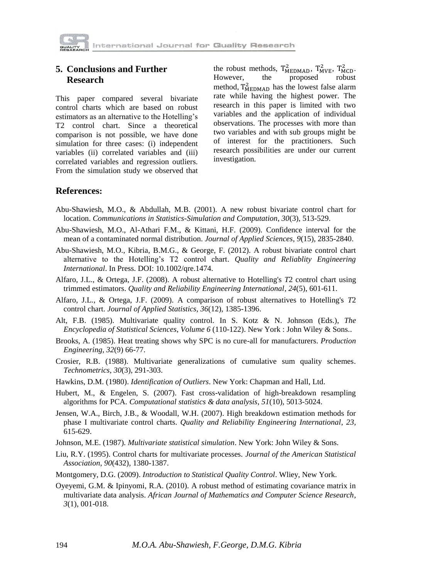

## **5. Conclusions and Further Research**

This paper compared several bivariate control charts which are based on robust estimators as an alternative to the Hotelling's T2 control chart. Since a theoretical comparison is not possible, we have done simulation for three cases: (i) independent variables (ii) correlated variables and (iii) correlated variables and regression outliers. From the simulation study we observed that

the robust methods,  $T_{\text{MEDMAD}}^2$ ,  $T_{\text{MVE}}^2$ ,  $T_{\text{MCD}}^2$ . However, the proposed robust method,  $T_{\text{MEDMAD}}^2$  has the lowest false alarm rate while having the highest power. The research in this paper is limited with two variables and the application of individual observations. The processes with more than two variables and with sub groups might be of interest for the practitioners. Such research possibilities are under our current investigation.

## **References:**

- Abu-Shawiesh, M.O., & Abdullah, M.B. (2001). A new robust bivariate control chart for location. *Communications in Statistics-Simulation and Computation*, *30*(3), 513-529.
- Abu-Shawiesh, M.O., Al-Athari F.M., & Kittani, H.F. (2009). Confidence interval for the mean of a contaminated normal distribution. *Journal of Applied Sciences*, *9*(15), 2835-2840.
- Abu-Shawiesh, M.O., Kibria, B.M.G., & George, F. (2012). A robust bivariate control chart alternative to the Hotelling's T2 control chart. *Quality and Reliablity Engineering International*. In Press. DOI: 10.1002/qre.1474.
- Alfaro, J.L., & Ortega, J.F. (2008). A robust alternative to Hotelling's *T*2 control chart using trimmed estimators. *Quality and Reliability Engineering International*, *24*(5), 601-611.
- Alfaro, J.L., & Ortega, J.F. (2009). A comparison of robust alternatives to Hotelling's *T*2 control chart. *Journal of Applied Statistics*, *36*(12), 1385-1396.
- Alt, F.B. (1985). Multivariate quality control. In S. Kotz & N. Johnson (Eds.), *The Encyclopedia of Statistical Sciences*, *Volume 6* (110-122). New York : John Wiley & Sons..
- Brooks, A. (1985). Heat treating shows why SPC is no cure-all for manufacturers. *Production Engineering*, *32*(9) 66-77.
- Crosier, R.B. (1988). Multivariate generalizations of cumulative sum quality schemes. *Technometrics*, *30*(3), 291-303.
- Hawkins, D.M. (1980). *Identification of Outliers*. New York: Chapman and Hall, Ltd.
- Hubert, M., & Engelen, S. (2007). Fast cross-validation of high-breakdown resampling algorithms for PCA. *Computational statistics & data analysis*, *51*(10), 5013-5024.
- Jensen, W.A., Birch, J.B., & Woodall, W.H. (2007). High breakdown estimation methods for phase I multivariate control charts. *Quality and Reliability Engineering International*, *23,*  615-629.
- Johnson, M.E. (1987). *Multivariate statistical simulation*. New York: John Wiley & Sons.
- Liu, R.Y. (1995). Control charts for multivariate processes. *Journal of the American Statistical Association*, *90*(432), 1380-1387.
- Montgomery, D.G. (2009). *Introduction to Statistical Quality Control*. Wliey, New York.
- Oyeyemi, G.M. & Ipinyomi, R.A. (2010). A robust method of estimating covariance matrix in multivariate data analysis. *African Journal of Mathematics and Computer Science Research*, *3*(1), 001-018.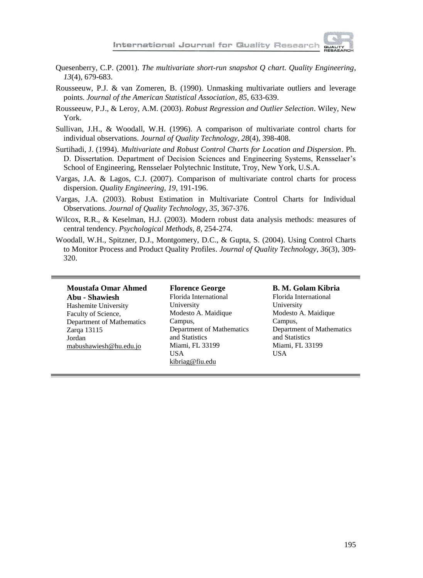

- Quesenberry, C.P. (2001). *The multivariate short-run snapshot Q chart. Quality Engineering*, *13*(4), 679-683.
- Rousseeuw, P.J. & van Zomeren, B. (1990). Unmasking multivariate outliers and leverage points. *Journal of the American Statistical Association*, *85*, 633-639.
- Rousseeuw, P.J., & Leroy, A.M. (2003). *Robust Regression and Outlier Selection*. Wiley, New York.
- Sullivan, J.H., & Woodall, W.H. (1996). A comparison of multivariate control charts for individual observations. *Journal of Quality Technology*, *28*(4), 398-408.
- Surtihadi, J. (1994). *Multivariate and Robust Control Charts for Location and Dispersion*. Ph. D. Dissertation. Department of Decision Sciences and Engineering Systems, Rensselaer's School of Engineering, Rensselaer Polytechnic Institute, Troy, New York, U.S.A.
- Vargas, J.A. & Lagos, C.J. (2007). Comparison of multivariate control charts for process dispersion. *Quality Engineering*, *19*, 191-196.
- Vargas, J.A. (2003). Robust Estimation in Multivariate Control Charts for Individual Observations. *Journal of Quality Technology*, *35*, 367-376.
- Wilcox, R.R., & Keselman, H.J. (2003). Modern robust data analysis methods: measures of central tendency. *Psychological Methods*, *8*, 254-274.
- Woodall, W.H., Spitzner, D.J., Montgomery, D.C., & Gupta, S. (2004). Using Control Charts to Monitor Process and Product Quality Profiles. *Journal of Quality Technology*, *36*(3), 309- 320.

**Moustafa Omar Ahmed Abu - Shawiesh** Hashemite University Faculty of Science, Department of Mathematics Zarqa 13115 Jordan [mabushawiesh@hu.edu.jo](mailto:mabushawiesh@hu.edu.jo)

**Florence George** Florida International University Modesto A. Maidique Campus, Department of Mathematics and Statistics Miami, FL 33199 USA [kibriag@fiu.edu](mailto:kibriag@fiu.edu)

**B. M. Golam Kibria** Florida International University Modesto A. Maidique Campus,

Department of Mathematics and Statistics Miami, FL 33199 USA